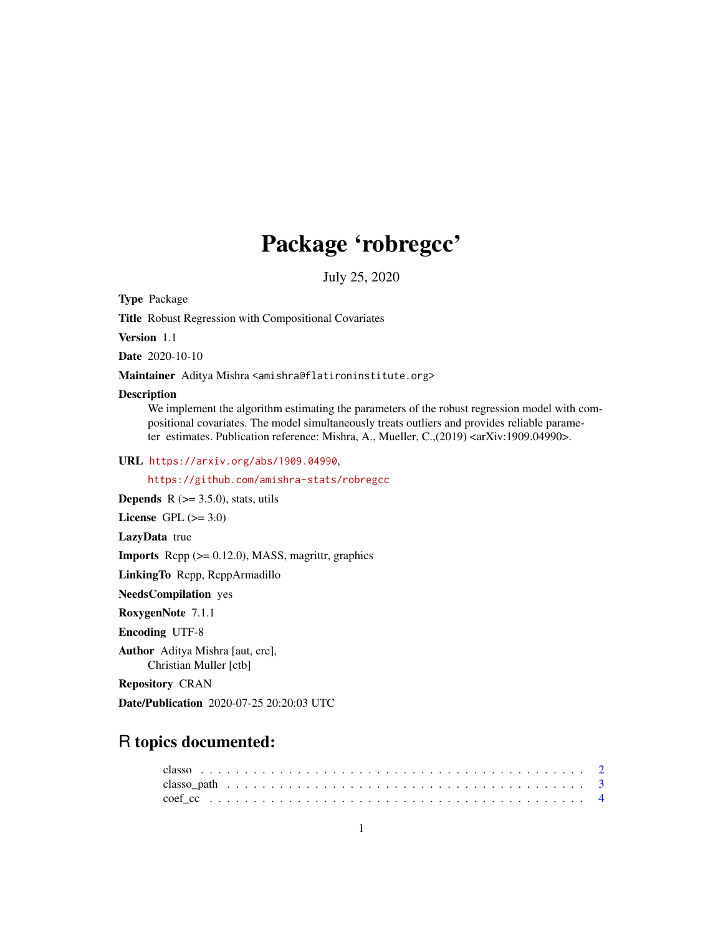## Package 'robregcc'

July 25, 2020

Type Package

Title Robust Regression with Compositional Covariates

Version 1.1

Date 2020-10-10

Maintainer Aditya Mishra <amishra@flatironinstitute.org>

#### Description

We implement the algorithm estimating the parameters of the robust regression model with compositional covariates. The model simultaneously treats outliers and provides reliable parameter estimates. Publication reference: Mishra, A., Mueller, C.,(2019) <arXiv:1909.04990>.

URL <https://arxiv.org/abs/1909.04990>,

<https://github.com/amishra-stats/robregcc>

**Depends**  $R$  ( $>= 3.5.0$ ), stats, utils

License GPL  $(>= 3.0)$ 

LazyData true

**Imports** Rcpp  $(>= 0.12.0)$ , MASS, magrittr, graphics

LinkingTo Rcpp, RcppArmadillo

NeedsCompilation yes

RoxygenNote 7.1.1

Encoding UTF-8

Author Aditya Mishra [aut, cre], Christian Muller [ctb]

Repository CRAN

Date/Publication 2020-07-25 20:20:03 UTC

### R topics documented: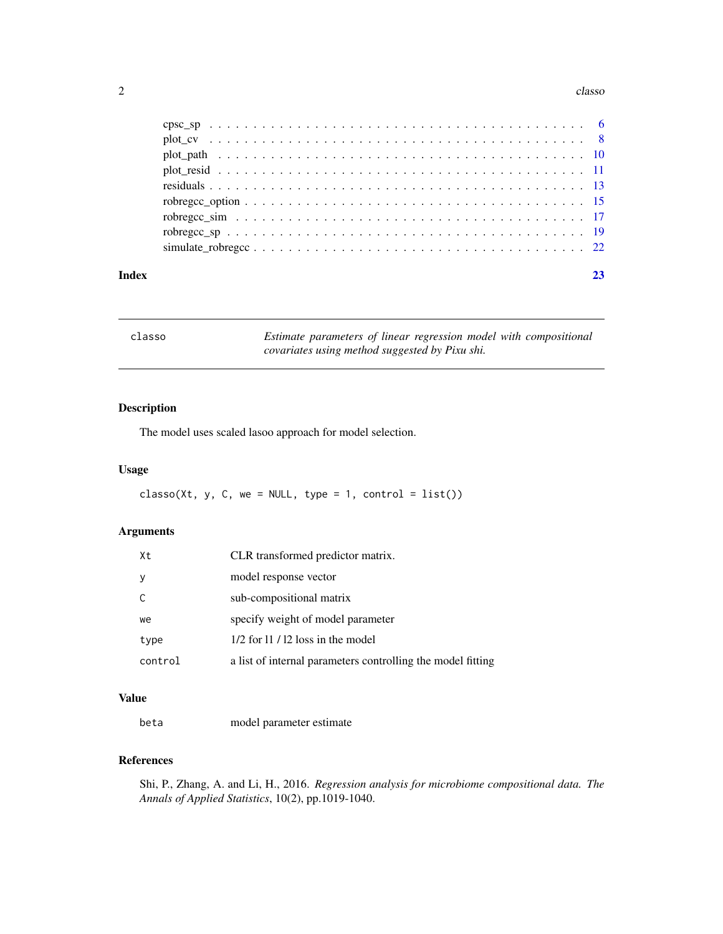#### <span id="page-1-0"></span>2 classo contract to the contract of the classo classo classo classo classo classo classo classo classo classo

| Index |  |
|-------|--|

| classo | Estimate parameters of linear regression model with compositional |
|--------|-------------------------------------------------------------------|
|        | covariates using method suggested by Pixu shi.                    |

#### Description

The model uses scaled lasoo approach for model selection.

#### Usage

 $classo(Xt, y, C, we = NULL, type = 1, control = list())$ 

#### Arguments

| Xt           | CLR transformed predictor matrix.                           |
|--------------|-------------------------------------------------------------|
| <sup>V</sup> | model response vector                                       |
|              | sub-compositional matrix                                    |
| we           | specify weight of model parameter                           |
| type         | $1/2$ for 11 / 12 loss in the model                         |
| control      | a list of internal parameters controlling the model fitting |

#### Value

beta model parameter estimate

#### References

Shi, P., Zhang, A. and Li, H., 2016. *Regression analysis for microbiome compositional data. The Annals of Applied Statistics*, 10(2), pp.1019-1040.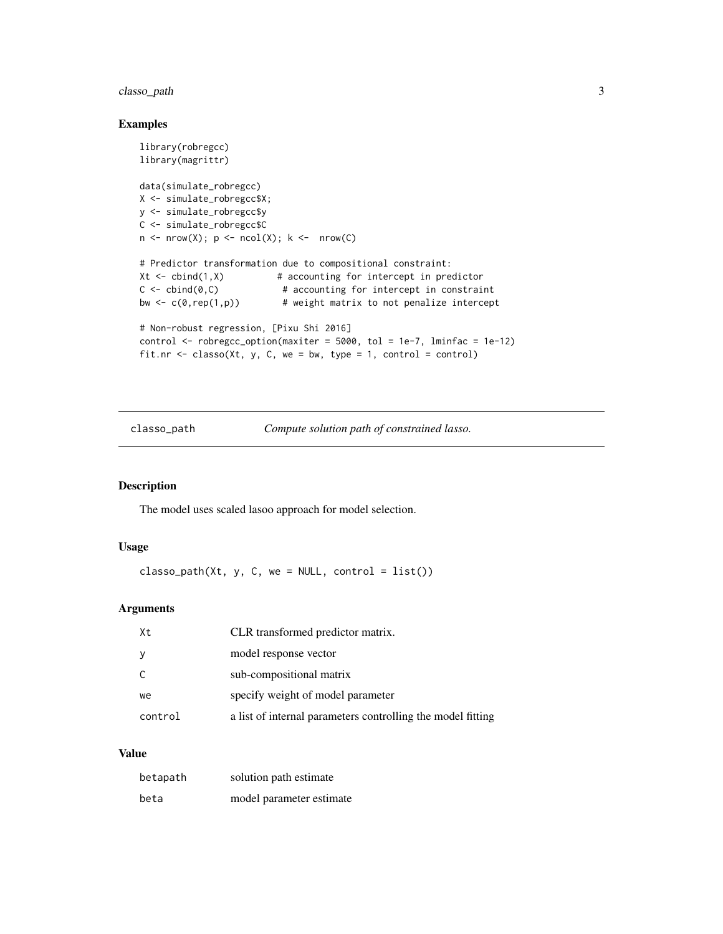#### <span id="page-2-0"></span>classo\_path 3

#### Examples

```
library(robregcc)
library(magrittr)
data(simulate_robregcc)
X <- simulate_robregcc$X;
y <- simulate_robregcc$y
C <- simulate_robregcc$C
n \leq -nrow(X); p \leq -ncol(X); k \leq -nrow(C)# Predictor transformation due to compositional constraint:
Xt \le cbind(1,X) \qquad # accounting for intercept in predictor
C \leq - \text{cbind}(0, C) # accounting for intercept in constraint
bw \leftarrow c(0, rep(1, p)) # weight matrix to not penalize intercept
# Non-robust regression, [Pixu Shi 2016]
control \le robregcc_option(maxiter = 5000, tol = 1e-7, lminfac = 1e-12)
fit.nr \leq classo(Xt, y, C, we = bw, type = 1, control = control)
```
classo\_path *Compute solution path of constrained lasso.*

#### Description

The model uses scaled lasoo approach for model selection.

#### Usage

```
classo-path(Xt, y, C, we = NULL, control = list())
```
#### Arguments

| Xt      | CLR transformed predictor matrix.                           |
|---------|-------------------------------------------------------------|
| У       | model response vector                                       |
| C       | sub-compositional matrix                                    |
| we      | specify weight of model parameter                           |
| control | a list of internal parameters controlling the model fitting |

#### Value

| betapath | solution path estimate   |
|----------|--------------------------|
| beta     | model parameter estimate |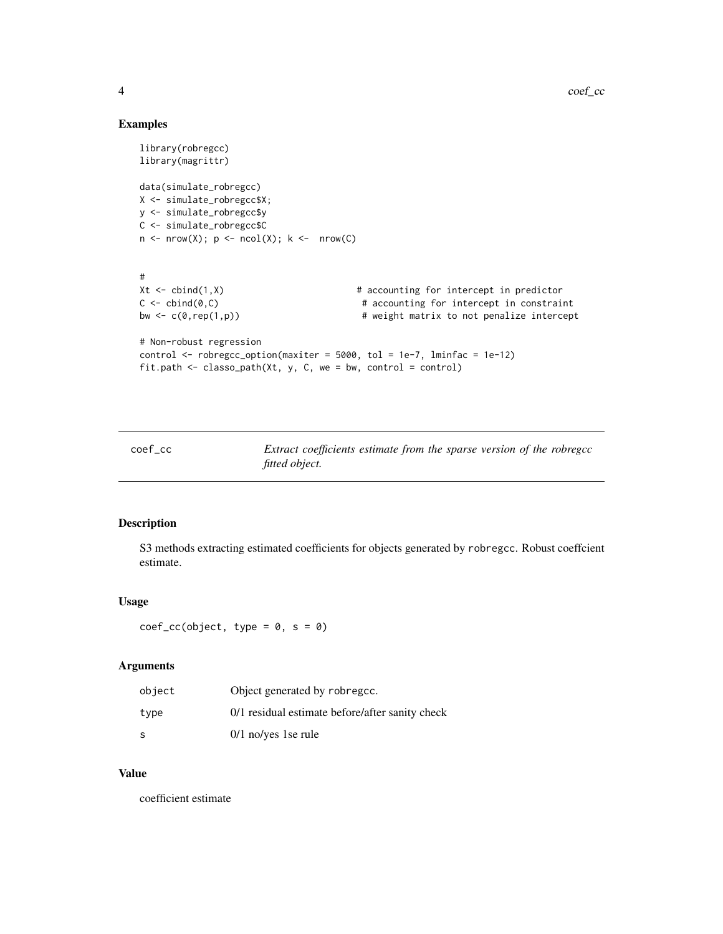#### Examples

```
library(robregcc)
library(magrittr)
data(simulate_robregcc)
X <- simulate_robregcc$X;
y <- simulate_robregcc$y
C <- simulate_robregcc$C
n \le -nrow(X); p \le -ncol(X); k \le -nrow(C)#
Xt <- cbind(1,X) # accounting for intercept in predictor
C \leq - \text{cbind}(0, C) # accounting for intercept in constraint
bw \leftarrow c(0,rep(1,p)) \qquad # weight matrix to not penalize intercept
# Non-robust regression
control \le robregcc_option(maxiter = 5000, tol = 1e-7, lminfac = 1e-12)
fit.path <- classo_path(Xt, y, C, we = bw, control = control)
```

| coef cc | Extract coefficients estimate from the sparse version of the robregcc |
|---------|-----------------------------------------------------------------------|
|         | fitted object.                                                        |

#### Description

S3 methods extracting estimated coefficients for objects generated by robregcc. Robust coeffcient estimate.

#### Usage

 $coef\_cc(object, type = 0, s = 0)$ 

#### Arguments

| object | Object generated by robregcc.                   |
|--------|-------------------------------------------------|
| type   | 0/1 residual estimate before/after sanity check |
| S      | $0/1$ no/yes 1se rule                           |

#### Value

coefficient estimate

<span id="page-3-0"></span>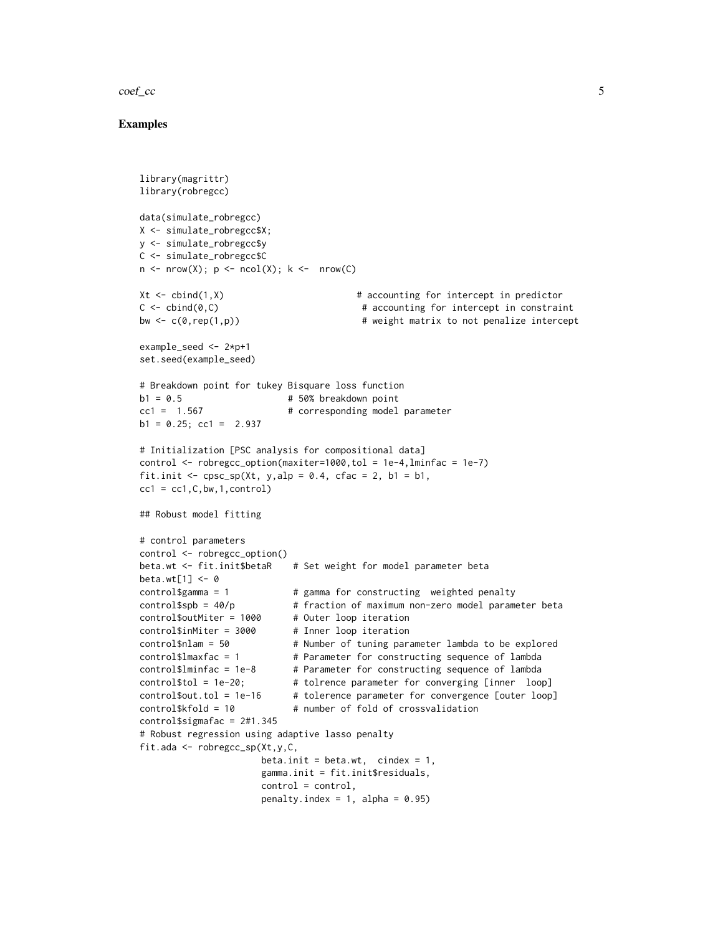#### $\text{coeff}_{\text{c}}$   $\text{coeff}_{\text{c}}$   $\text{def}_{\text{c}}$   $\text{def}_{\text{c}}$   $\text{def}_{\text{c}}$   $\text{def}_{\text{c}}$   $\text{def}_{\text{c}}$   $\text{def}_{\text{c}}$   $\text{def}_{\text{c}}$   $\text{def}_{\text{c}}$   $\text{def}_{\text{c}}$   $\text{def}_{\text{c}}$   $\text{def}_{\text{c}}$   $\text{def}_{\text{c}}$   $\text{def}_{\text{c}}$   $\text{def}_{\text{c}}$   $\text{def}_{\text{c}}$

```
library(magrittr)
library(robregcc)
data(simulate_robregcc)
X <- simulate_robregcc$X;
y <- simulate_robregcc$y
C <- simulate_robregcc$C
n \leq -nrow(X); p \leq ncol(X); k \leq -nrow(C)Xt \leq -\text{cbind}(1,X) # accounting for intercept in predictor
C \le - \text{cbind}(\emptyset, C) # accounting for intercept in constraint
bw \leq c(0,rep(1,p)) \qquad # weight matrix to not penalize intercept
example_seed <- 2*p+1
set.seed(example_seed)
# Breakdown point for tukey Bisquare loss function
b1 = 0.5 # 50% breakdown point
cc1 = 1.567 # corresponding model parameter
b1 = 0.25; cc1 = 2.937
# Initialization [PSC analysis for compositional data]
control <- robregcc_option(maxiter=1000,tol = 1e-4,lminfac = 1e-7)
fit.init \leq cpsc_sp(Xt, y,alp = 0.4, cfac = 2, b1 = b1,
cc1 = cc1, C, bw, 1, control)## Robust model fitting
# control parameters
control <- robregcc_option()
beta.wt <- fit.init$betaR # Set weight for model parameter beta
beta.wt[1] <- 0
control\gamma = 1 \qquad # gamma for constructing weighted penalty
control$spb = 40/p # fraction of maximum non-zero model parameter beta
control$outMiter = 1000 # Outer loop iteration
control$inMiter = 3000 # Inner loop iteration
control$nlam = 50 # Number of tuning parameter lambda to be explored
control$lmaxfac = 1 # Parameter for constructing sequence of lambda
control$lminfac = 1e-8 # Parameter for constructing sequence of lambda
control$tol = 1e-20; # tolrence parameter for converging [inner loop]
control$out.tol = 1e-16 # tolerence parameter for convergence [outer loop]
control$kfold = 10 # number of fold of crossvalidation
control$sigmafac = 2#1.345
# Robust regression using adaptive lasso penalty
fit.ada <- robregcc_sp(Xt,y,C,
                     beta.init = beta.wt, cindex = 1,
                     gamma.init = fit.init$residuals,
                     control = control,
                     penalty.index = 1, alpha = 0.95)
```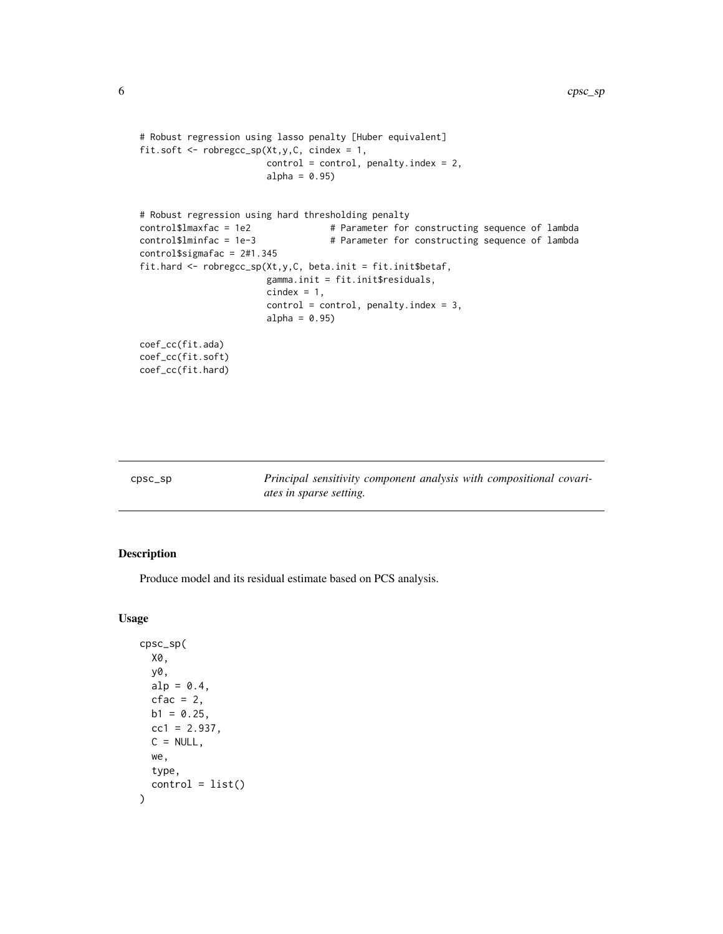```
# Robust regression using lasso penalty [Huber equivalent]
fit.soft <- robregcc_sp(Xt,y,C, cindex = 1,
                       control = control, penalty.index = 2,
                       alpha = 0.95)
# Robust regression using hard thresholding penalty
control$lmaxfac = 1e2 # Parameter for constructing sequence of lambda
control$lminfac = 1e-3 # Parameter for constructing sequence of lambda
control$sigmafac = 2#1.345
fit.hard <- robregcc_sp(Xt,y,C, beta.init = fit.init$betaf,
                       gamma.init = fit.init$residuals,
                       cindex = 1,
                       control = control, penalty.index = 3,
                       alpha = 0.95)
coef_cc(fit.ada)
coef_cc(fit.soft)
coef_cc(fit.hard)
```

| $CDSC$ _SD | Principal sensitivity component analysis with compositional covari- |
|------------|---------------------------------------------------------------------|
|            |                                                                     |
|            | ates in sparse setting.                                             |

#### Description

Produce model and its residual estimate based on PCS analysis.

#### Usage

```
cpsc_sp(
 X0,
  y0,
  alp = 0.4,cfac = 2,
 b1 = 0.25,
  cc1 = 2.937,
 C = NULL,we,
  type,
  control = list())
```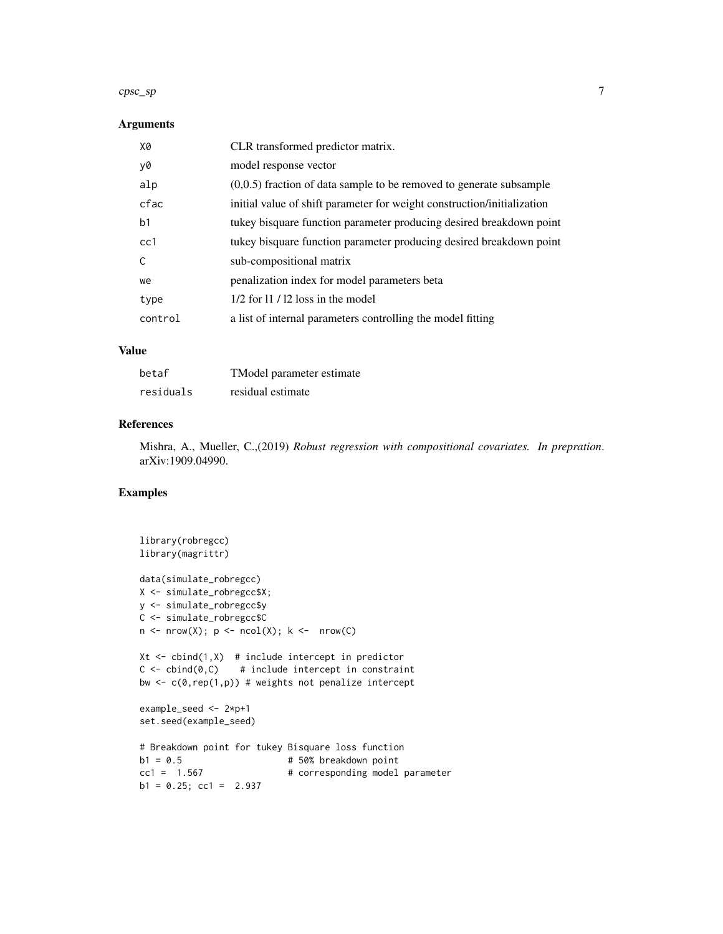#### $\epsilon$ psc\_sp 7

#### Arguments

| X0      | CLR transformed predictor matrix.                                       |
|---------|-------------------------------------------------------------------------|
| y0      | model response vector                                                   |
| alp     | $(0,0.5)$ fraction of data sample to be removed to generate subsample   |
| cfac    | initial value of shift parameter for weight construction/initialization |
| b1      | tukey bisquare function parameter producing desired breakdown point     |
| cc1     | tukey bisquare function parameter producing desired breakdown point     |
| C       | sub-compositional matrix                                                |
| we      | penalization index for model parameters beta                            |
| type    | $1/2$ for 11 / 12 loss in the model                                     |
| control | a list of internal parameters controlling the model fitting             |
|         |                                                                         |

#### Value

| betaf     | TModel parameter estimate |
|-----------|---------------------------|
| residuals | residual estimate         |

#### References

Mishra, A., Mueller, C.,(2019) *Robust regression with compositional covariates. In prepration*. arXiv:1909.04990.

```
library(robregcc)
library(magrittr)
data(simulate_robregcc)
X <- simulate_robregcc$X;
y <- simulate_robregcc$y
C <- simulate_robregcc$C
n \leq -nrow(X); p \leq -ncol(X); k \leq -nrow(C)Xt \leftarrow \text{cbind}(1,X) # include intercept in predictor
C \le -\text{cbind}(0, C) # include intercept in constraint
bw \leq c(0, rep(1, p)) # weights not penalize intercept
example_seed <- 2*p+1
set.seed(example_seed)
# Breakdown point for tukey Bisquare loss function
b1 = 0.5 # 50% breakdown point
cc1 = 1.567 # corresponding model parameter
b1 = 0.25; cc1 = 2.937
```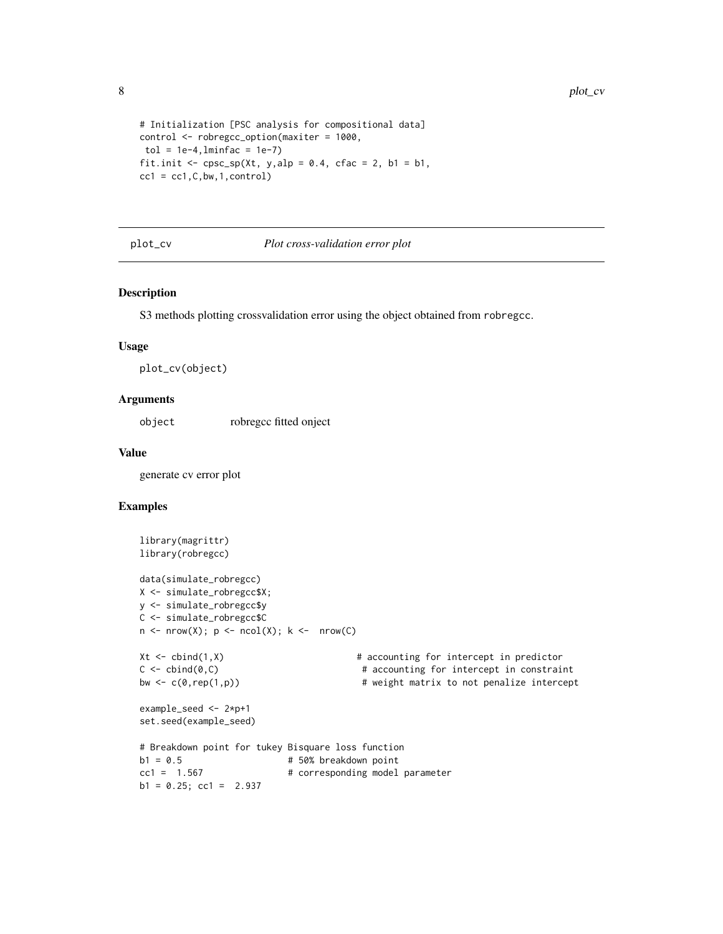```
# Initialization [PSC analysis for compositional data]
control <- robregcc_option(maxiter = 1000,
tol = 1e-4, lminfac = 1e-7)fit.init <- cpsc_sp(Xt, y, alp = 0.4, cfac = 2, b1 = b1,cc1 = cc1, C, bw, 1, control)
```
#### plot\_cv *Plot cross-validation error plot*

#### Description

S3 methods plotting crossvalidation error using the object obtained from robregcc.

#### Usage

plot\_cv(object)

#### Arguments

object robregcc fitted onject

#### Value

generate cv error plot

```
library(magrittr)
library(robregcc)
data(simulate_robregcc)
X <- simulate_robregcc$X;
y <- simulate_robregcc$y
C <- simulate_robregcc$C
n \leq -nrow(X); p \leq ncol(X); k \leq -nrow(C)Xt <- cbind(1,X) # accounting for intercept in predictor
C \leftarrow \text{cbind}(\emptyset, C) # accounting for intercept in constraint
bw \leq c(\emptyset, rep(1,p)) \qquad \qquad \qquad \qquad \qquad \qquad \qquad \qquad \qquad \qquad \qquad \qquad \qquad \qquad \qquad \qquad \qquad \qquad \qquad \qquad \qquad \qquad \qquad \qquad \qquad \qquad \qquad \qquad \qquad \qquad \qquad \qquad \qquad example_seed <- 2*p+1
set.seed(example_seed)
# Breakdown point for tukey Bisquare loss function
b1 = 0.5 # 50% breakdown point
cc1 = 1.567 # corresponding model parameter
b1 = 0.25; cc1 = 2.937
```
<span id="page-7-0"></span>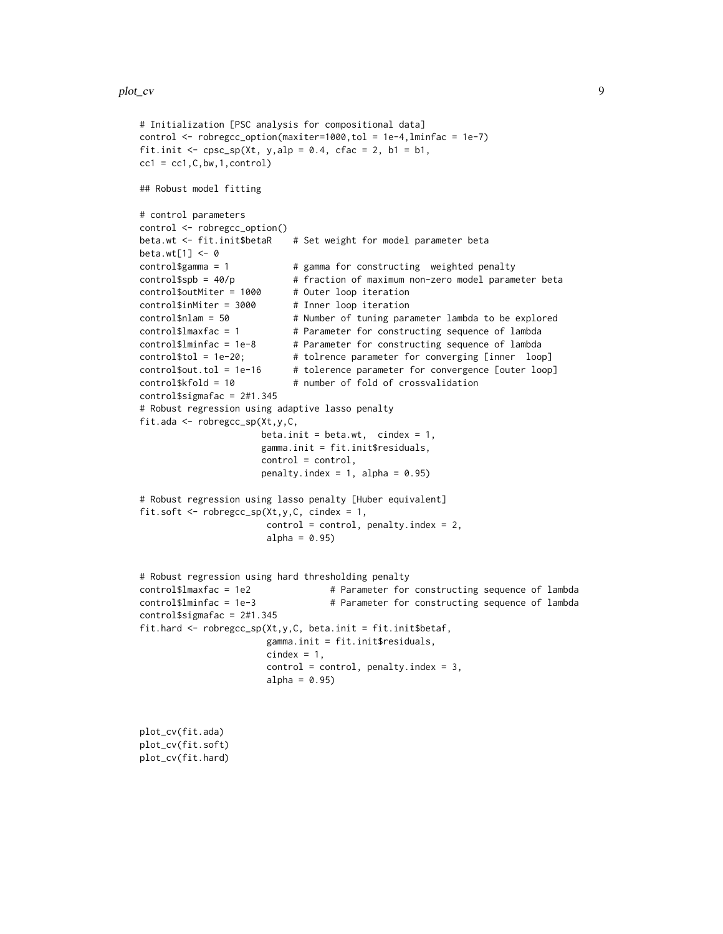plot\_cv(fit.soft) plot\_cv(fit.hard)

```
# Initialization [PSC analysis for compositional data]
control <- robregcc_option(maxiter=1000,tol = 1e-4,lminfac = 1e-7)
fit.init <- cpsc_sp(Xt, y, alp = 0.4, cfac = 2, b1 = b1,cc1 = cc1, C, bw, 1, control)## Robust model fitting
# control parameters
control <- robregcc_option()
beta.wt <- fit.init$betaR # Set weight for model parameter beta
beta.wt[1] <- 0
control$gamma = 1 # gamma for constructing weighted penalty
control$spb = 40/p # fraction of maximum non-zero model parameter beta
control$outMiter = 1000 # Outer loop iteration
control$inMiter = 3000 # Inner loop iteration
control$nlam = 50 # Number of tuning parameter lambda to be explored
control$lmaxfac = 1 # Parameter for constructing sequence of lambda
control$lminfac = 1e-8 # Parameter for constructing sequence of lambda
control$tol = 1e-20; # tolrence parameter for converging [inner loop]
control$out.tol = 1e-16 # tolerence parameter for convergence [outer loop]
control$kfold = 10 # number of fold of crossvalidation
control$sigmafac = 2#1.345
# Robust regression using adaptive lasso penalty
fit.ada <- robregcc_sp(Xt,y,C,
                     beta.init = beta.wt, cindex = 1,
                     gamma.init = fit.init$residuals,
                     control = control,
                     penalty.index = 1, alpha = 0.95)
# Robust regression using lasso penalty [Huber equivalent]
fit.soft \leq robregcc_sp(Xt,y,C, cindex = 1,
                      control = control, penalty.index = 2,alpha = 0.95)
# Robust regression using hard thresholding penalty
control$lmaxfac = 1e2 # Parameter for constructing sequence of lambda
control$lminfac = 1e-3 # Parameter for constructing sequence of lambda
control$sigmafac = 2#1.345
fit.hard \leq robregcc_sp(Xt,y,C, beta.init = fit.init$betaf,
                      gamma.init = fit.init$residuals,
                      cindex = 1,
                      control = control, penalty.index = 3,alpha = 0.95)
plot_cv(fit.ada)
```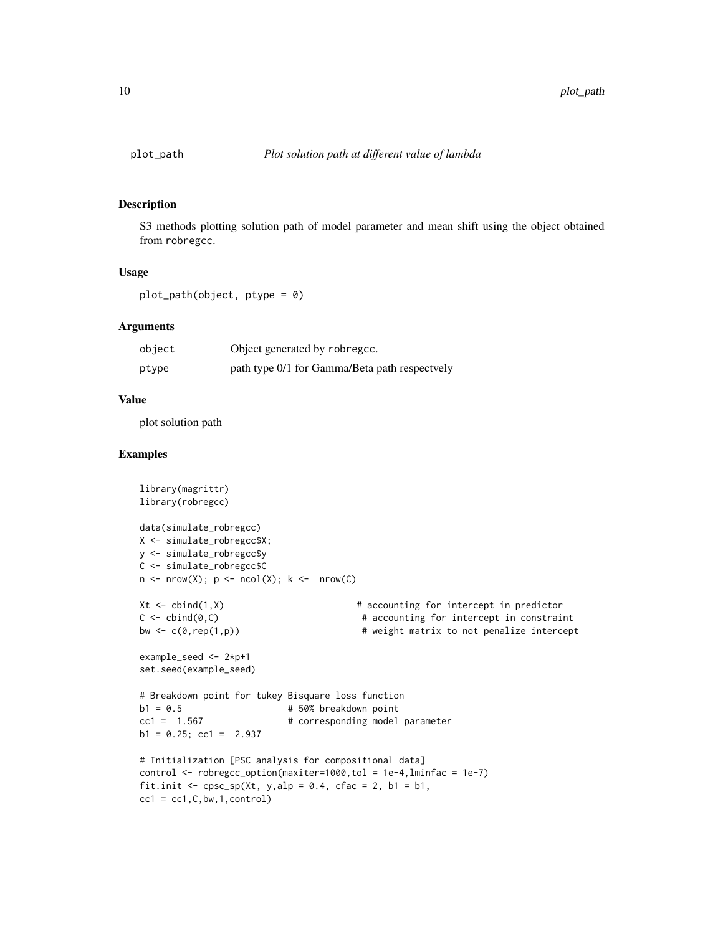<span id="page-9-0"></span>

#### Description

S3 methods plotting solution path of model parameter and mean shift using the object obtained from robregcc.

#### Usage

```
plot_path(object, ptype = 0)
```
#### Arguments

| object | Object generated by robregcc.                 |
|--------|-----------------------------------------------|
| ptype  | path type 0/1 for Gamma/Beta path respectvely |

#### Value

plot solution path

```
library(magrittr)
library(robregcc)
data(simulate_robregcc)
X <- simulate_robregcc$X;
y <- simulate_robregcc$y
C <- simulate_robregcc$C
n \leq -nrow(X); p \leq -ncol(X); k \leq -nrow(C)Xt <- cbind(1,X) # accounting for intercept in predictor
C \leq - \text{cbind}(\emptyset, C) # accounting for intercept in constraint
bw \leq c(\theta, rep(1,p)) \qquad # weight matrix to not penalize intercept
example_seed <- 2*p+1
set.seed(example_seed)
# Breakdown point for tukey Bisquare loss function
b1 = 0.5 # 50% breakdown point
cc1 = 1.567 # corresponding model parameter
b1 = 0.25; cc1 = 2.937
# Initialization [PSC analysis for compositional data]
control <- robregcc_option(maxiter=1000,tol = 1e-4,lminfac = 1e-7)
fit.init \leq cpsc_sp(Xt, y,alp = 0.4, cfac = 2, b1 = b1,
cc1 = cc1, C, bw, 1, control)
```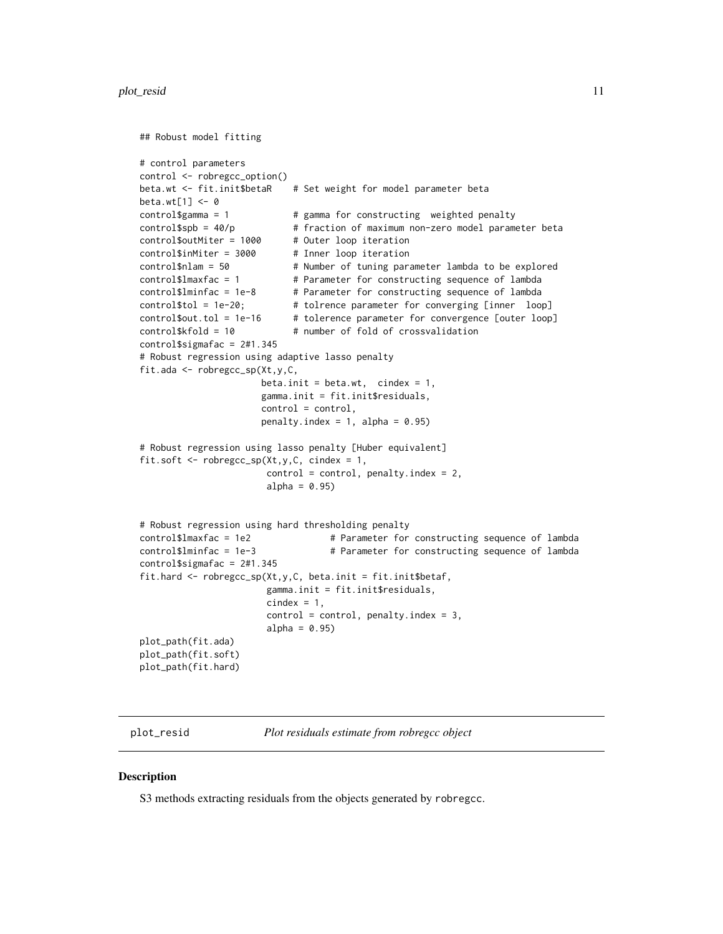#### <span id="page-10-0"></span>plot\_resid 11

```
## Robust model fitting
# control parameters
control <- robregcc_option()
beta.wt <- fit.init$betaR # Set weight for model parameter beta
beta.wt[1] <- 0
control\gamma = 1 \qquad # gamma for constructing weighted penalty
control$spb = 40/p # fraction of maximum non-zero model parameter beta
control$outMiter = 1000 # Outer loop iteration
control$inMiter = 3000 # Inner loop iteration
control$nlam = 50 # Number of tuning parameter lambda to be explored
control$lmaxfac = 1 # Parameter for constructing sequence of lambda
control$lminfac = 1e-8 # Parameter for constructing sequence of lambda
control$tol = 1e-20; # tolrence parameter for converging [inner loop]
control$out.tol = 1e-16 # tolerence parameter for convergence [outer loop]
control$kfold = 10 # number of fold of crossvalidation
control$sigmafac = 2#1.345
# Robust regression using adaptive lasso penalty
fit.ada <- robregcc_sp(Xt,y,C,
                     beta.init = beta.wt, cindex = 1,
                     gamma.init = fit.init$residuals,
                     control = control,
                     penalty.index = 1, alpha = 0.95)
# Robust regression using lasso penalty [Huber equivalent]
fit.soft \leq robregcc_sp(Xt,y,C, cindex = 1,
                      control = control, penalty.index = 2,alpha = 0.95)
# Robust regression using hard thresholding penalty
control$lmaxfac = 1e2 # Parameter for constructing sequence of lambda
control$lminfac = 1e-3 # Parameter for constructing sequence of lambda
control$sigmafac = 2#1.345
fit.hard <- robregcc_sp(Xt,y,C, beta.init = fit.init$betaf,
                      gamma.init = fit.init$residuals,
                      cindex = 1,
                      control = control, penalty.index = 3,alpha = 0.95)
plot_path(fit.ada)
plot_path(fit.soft)
plot_path(fit.hard)
```
plot\_resid *Plot residuals estimate from robregcc object*

#### **Description**

S3 methods extracting residuals from the objects generated by robregcc.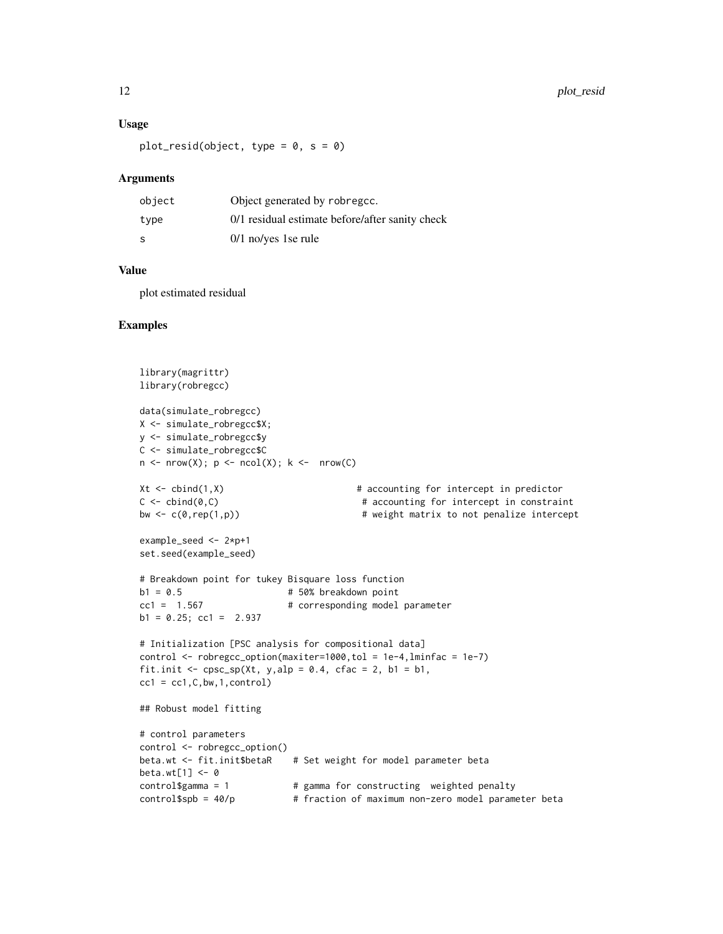#### Usage

 $plot\_resid(object, type = 0, s = 0)$ 

#### Arguments

| object | Object generated by robregcc.                   |
|--------|-------------------------------------------------|
| type   | 0/1 residual estimate before/after sanity check |
| -S     | $0/1$ no/yes 1se rule                           |

#### Value

plot estimated residual

```
library(magrittr)
library(robregcc)
data(simulate_robregcc)
X <- simulate_robregcc$X;
y <- simulate_robregcc$y
C <- simulate_robregcc$C
n \leq -nrow(X); p \leq ncol(X); k \leq -nrow(C)Xt \leq -\text{cbind}(1,X) # accounting for intercept in predictor
C \leftarrow \text{cbind}(\emptyset, C) # accounting for intercept in constraint
bw \leq c(\emptyset, rep(1,p)) \qquad # weight matrix to not penalize intercept
example_seed <- 2*p+1
set.seed(example_seed)
# Breakdown point for tukey Bisquare loss function
b1 = 0.5 # 50% breakdown point
cc1 = 1.567 # corresponding model parameter
b1 = 0.25; cc1 = 2.937
# Initialization [PSC analysis for compositional data]
control <- robregcc_option(maxiter=1000,tol = 1e-4,lminfac = 1e-7)
fit.init \leq cpsc_sp(Xt, y,alp = 0.4, cfac = 2, b1 = b1,
cc1 = cc1, C, bw, 1, control)## Robust model fitting
# control parameters
control <- robregcc_option()
beta.wt <- fit.init$betaR # Set weight for model parameter beta
beta.wt[1] <- 0
control\gamma = 1 \qquad # gamma for constructing weighted penalty
control$spb = 40/p # fraction of maximum non-zero model parameter beta
```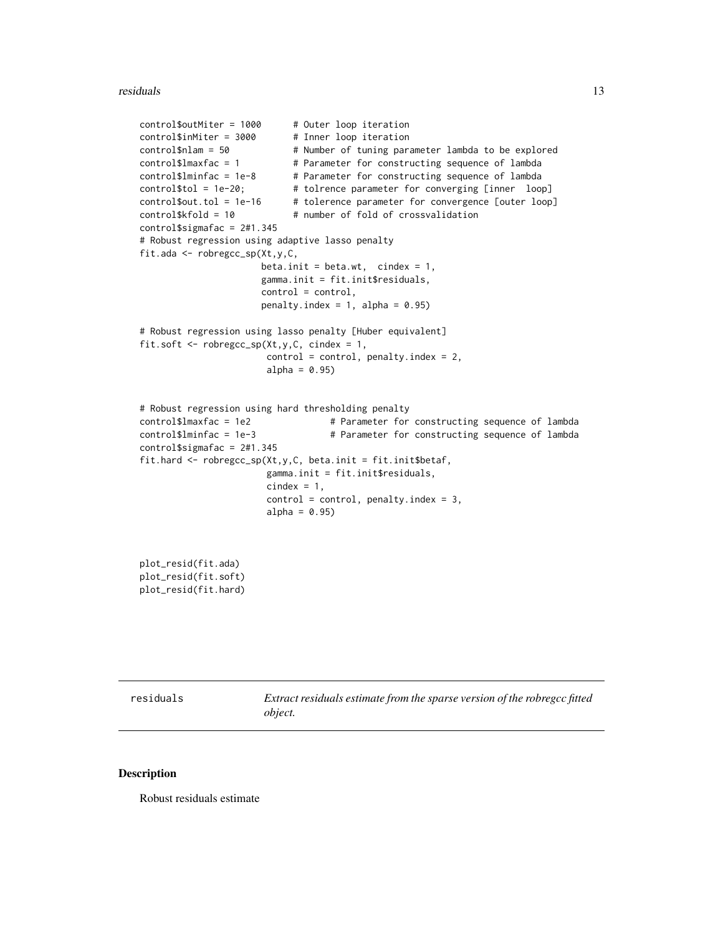#### <span id="page-12-0"></span>residuals and the set of the set of the set of the set of the set of the set of the set of the set of the set o

```
control$outMiter = 1000 # Outer loop iteration
control$inMiter = 3000 # Inner loop iteration
control$nlam = 50 # Number of tuning parameter lambda to be explored
control$1maxfac = 1 # Parameter for constructing sequence of lambdacontrol$lminfac = 1e-8 # Parameter for constructing sequence of lambda
control$tol = 1e-20; # tolrence parameter for converging [inner loop]
control$out.tol = 1e-16 # tolerence parameter for convergence [outer loop]
control$kfold = 10 # number of fold of crossvalidation
control$sigmafac = 2#1.345
# Robust regression using adaptive lasso penalty
fit.ada <- robregcc_sp(Xt,y,C,
                     beta.init = beta.wt, cindex = 1,
                     gamma.init = fit.init$residuals,
                     control = control,
                     penalty.index = 1, alpha = 0.95)
# Robust regression using lasso penalty [Huber equivalent]
fit.soft <- robregcc_sp(Xt,y,C, cindex = 1,
                      control = control, penalty.index = 2,alpha = 0.95)
# Robust regression using hard thresholding penalty
control$lmaxfac = 1e2 # Parameter for constructing sequence of lambda
control$lminfac = 1e-3 # Parameter for constructing sequence of lambda
control$sigmafac = 2#1.345
fit.hard \leq robregcc_sp(Xt,y,C, beta.init = fit.init$betaf,
                      gamma.init = fit.init$residuals,
                      cindex = 1,
                      control = control, penalty.index = 3,
                      alpha = 0.95)
plot_resid(fit.ada)
plot_resid(fit.soft)
```

```
plot_resid(fit.hard)
```
residuals *Extract residuals estimate from the sparse version of the robregcc fitted object.*

#### **Description**

Robust residuals estimate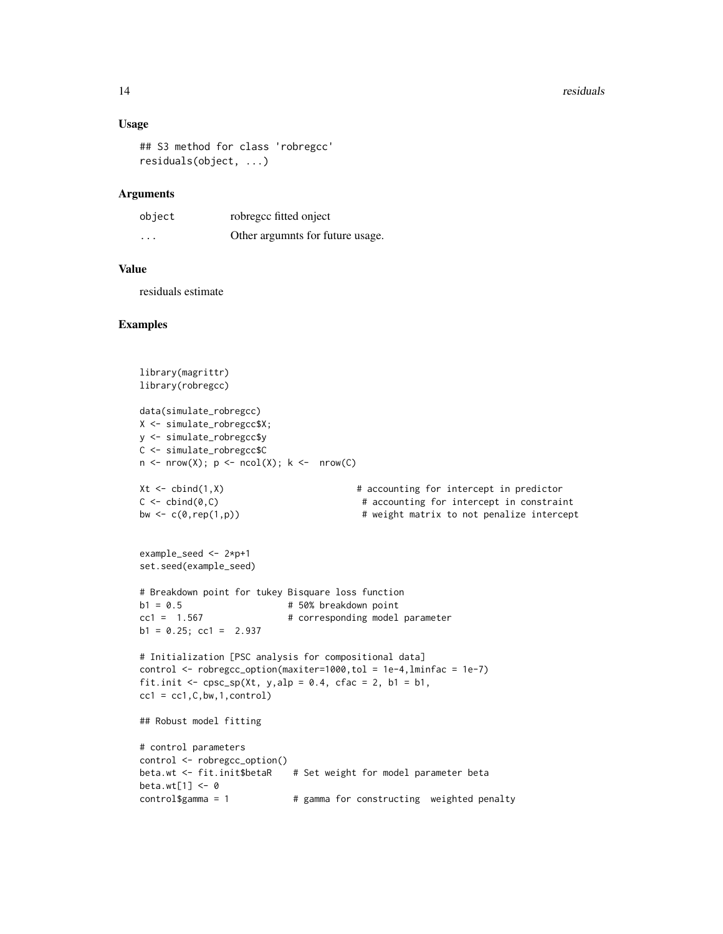#### 14 residuals

#### Usage

```
## S3 method for class 'robregcc'
residuals(object, ...)
```
#### Arguments

| object  | robregcc fitted onject           |
|---------|----------------------------------|
| $\cdot$ | Other argumnts for future usage. |

#### Value

residuals estimate

```
library(magrittr)
library(robregcc)
data(simulate_robregcc)
X <- simulate_robregcc$X;
y <- simulate_robregcc$y
C <- simulate_robregcc$C
n \leq -nrow(X); p \leq ncol(X); k \leq -nrow(C)Xt \leq -\text{cbind}(1,X) # accounting for intercept in predictor
C \leftarrow \text{cbind}(\emptyset, C) # accounting for intercept in constraint
bw \leq c(\emptyset, rep(1,p)) \qquad # weight matrix to not penalize intercept
example_seed <- 2*p+1
set.seed(example_seed)
# Breakdown point for tukey Bisquare loss function
                           # 50% breakdown point
cc1 = 1.567 # corresponding model parameter
b1 = 0.25; cc1 = 2.937
# Initialization [PSC analysis for compositional data]
control \le robregcc_option(maxiter=1000, tol = 1e-4, lminfac = 1e-7)
fit.init \leq cpsc_sp(Xt, y,alp = 0.4, cfac = 2, b1 = b1,
cc1 = cc1, C, bw, 1, control)## Robust model fitting
# control parameters
control <- robregcc_option()
beta.wt <- fit.init$betaR # Set weight for model parameter beta
beta.wt[1] <- 0
control\gamma = 1 \qquad # gamma for constructing weighted penalty
```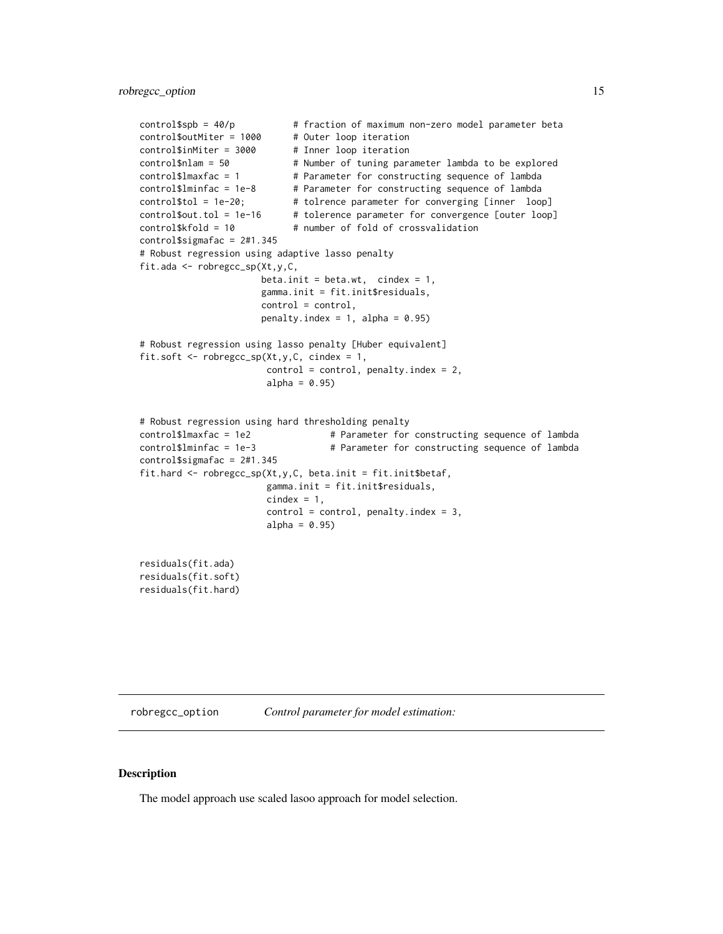```
control$spb = 40/p # fraction of maximum non-zero model parameter beta
control$outMiter = 1000 # Outer loop iteration
control$inMiter = 3000 # Inner loop iteration
control$nlam = 50 # Number of tuning parameter lambda to be explored
control$lmaxfac = 1 # Parameter for constructing sequence of lambda
control$lminfac = 1e-8 # Parameter for constructing sequence of lambda
control$tol = 1e-20; # tolrence parameter for converging [inner loop]
control$out.tol = 1e-16 # tolerence parameter for convergence [outer loop]
control$kfold = 10 # number of fold of crossvalidation
control$sigmafac = 2#1.345
# Robust regression using adaptive lasso penalty
fit.ada <- robregcc_sp(Xt,y,C,
                     beta.init = beta.wt, cindex = 1,
                     gamma.init = fit.init$residuals,
                     control = control,
                     penalty.index = 1, alpha = 0.95)
# Robust regression using lasso penalty [Huber equivalent]
fit.soft \leq robregcc_sp(Xt,y,C, cindex = 1,
                      control = control, penalty.index = 2,alpha = 0.95)
# Robust regression using hard thresholding penalty
control$lmaxfac = 1e2 # Parameter for constructing sequence of lambda
control$lminfac = 1e-3 # Parameter for constructing sequence of lambda
control$sigmafac = 2#1.345
fit.hard <- robregcc_sp(Xt,y,C, beta.init = fit.init$betaf,
                      gamma.init = fit.init$residuals,
                      cindex = 1,
                      control = control, penalty.index = 3,alpha = 0.95)
residuals(fit.ada)
residuals(fit.soft)
residuals(fit.hard)
```
robregcc\_option *Control parameter for model estimation:*

#### **Description**

The model approach use scaled lasoo approach for model selection.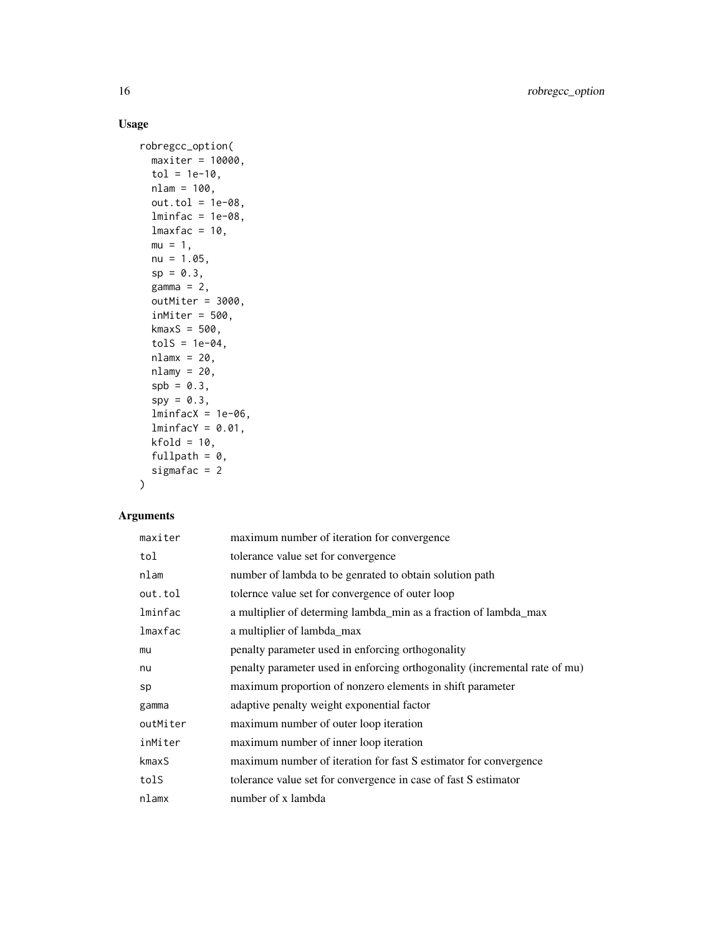#### Usage

```
robregcc_option(
 maxiter = 10000,
  tol = 1e-10,nlam = 100,
 out.tol = 1e-08,lminfac = 1e-08,lmaxfac = 10,mu = 1,
 nu = 1.05,
  sp = 0.3,
 gamma = 2,
 outMiter = 3000,
  inMiter = 500,
 kmaxS = 500,
  tols = 1e-04,nlamx = 20,
 nlamy = 20,
  spb = 0.3,
  spy = 0.3,
  lminfacX = 1e-06,
  lminfacY = 0.01,kfold = 10,fullpath = 0,
 sigmafac = 2
\mathcal{L}
```
#### Arguments

| maxiter  | maximum number of iteration for convergence                                |
|----------|----------------------------------------------------------------------------|
| tol      | tolerance value set for convergence                                        |
| nlam     | number of lambda to be genrated to obtain solution path                    |
| out.tol  | tolernce value set for convergence of outer loop                           |
| lminfac  | a multiplier of determing lambda_min as a fraction of lambda_max           |
| lmaxfac  | a multiplier of lambda_max                                                 |
| mu       | penalty parameter used in enforcing orthogonality                          |
| nu       | penalty parameter used in enforcing orthogonality (incremental rate of mu) |
| sp       | maximum proportion of nonzero elements in shift parameter                  |
| gamma    | adaptive penalty weight exponential factor                                 |
| outMiter | maximum number of outer loop iteration                                     |
| inMiter  | maximum number of inner loop iteration                                     |
| kmaxS    | maximum number of iteration for fast S estimator for convergence           |
| tolS     | tolerance value set for convergence in case of fast S estimator            |
| nlamx    | number of x lambda                                                         |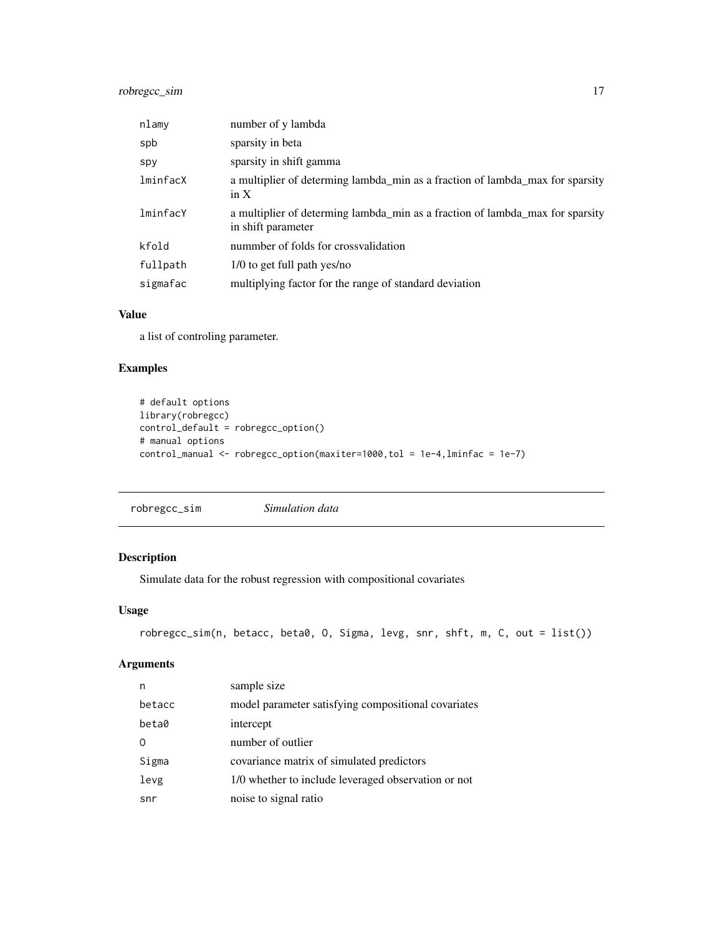#### <span id="page-16-0"></span>robregcc\_sim 17

| nlamy    | number of y lambda                                                                                  |
|----------|-----------------------------------------------------------------------------------------------------|
| spb      | sparsity in beta                                                                                    |
| spy      | sparsity in shift gamma                                                                             |
| lminfacX | a multiplier of determing lambda min as a fraction of lambda max for sparsity<br>in $X$             |
| lminfacY | a multiplier of determing lambda min as a fraction of lambda max for sparsity<br>in shift parameter |
| kfold    | nummber of folds for crossvalidation                                                                |
| fullpath | 1/0 to get full path yes/no                                                                         |
| sigmafac | multiplying factor for the range of standard deviation                                              |

#### Value

a list of controling parameter.

#### Examples

```
# default options
library(robregcc)
control_default = robregcc_option()
# manual options
control_manual <- robregcc_option(maxiter=1000,tol = 1e-4,lminfac = 1e-7)
```
robregcc\_sim *Simulation data*

#### Description

Simulate data for the robust regression with compositional covariates

#### Usage

```
robregcc_sim(n, betacc, beta0, O, Sigma, levg, snr, shft, m, C, out = list())
```
#### Arguments

| n      | sample size                                         |
|--------|-----------------------------------------------------|
| betacc | model parameter satisfying compositional covariates |
| beta0  | intercept                                           |
| 0      | number of outlier                                   |
| Sigma  | covariance matrix of simulated predictors           |
| levg   | 1/0 whether to include leveraged observation or not |
| snr    | noise to signal ratio                               |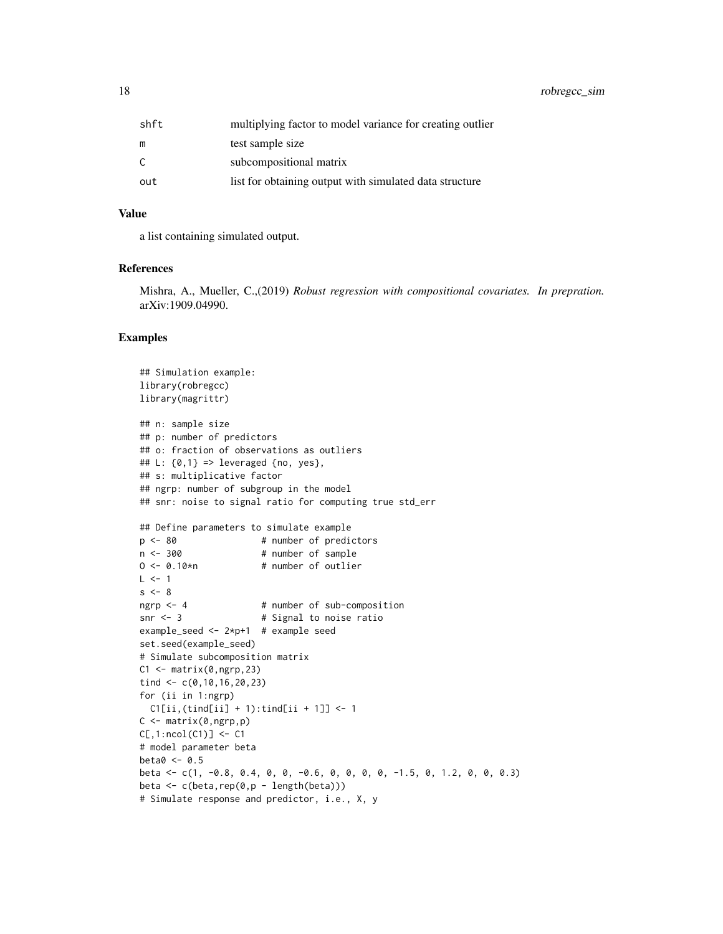18 robregcc\_sim

| shft | multiplying factor to model variance for creating outlier |
|------|-----------------------------------------------------------|
| m    | test sample size                                          |
| C    | subcompositional matrix                                   |
| out  | list for obtaining output with simulated data structure   |

#### Value

a list containing simulated output.

#### References

Mishra, A., Mueller, C.,(2019) *Robust regression with compositional covariates. In prepration.* arXiv:1909.04990.

```
## Simulation example:
library(robregcc)
library(magrittr)
## n: sample size
## p: number of predictors
## o: fraction of observations as outliers
## L: {0,1} => leveraged {no, yes},
## s: multiplicative factor
## ngrp: number of subgroup in the model
## snr: noise to signal ratio for computing true std_err
## Define parameters to simulate example
p \le -80 # number of predictors
n < -300 # number of sample
0 \le -0.10*n # number of outlier
L \le -1s < -8ngrp <- 4 # number of sub-composition
snr <- 3 # Signal to noise ratio
example_seed <- 2*p+1 # example seed
set.seed(example_seed)
# Simulate subcomposition matrix
C1 \leq - matrix(0,ngrp, 23)
tind <- c(0,10,16,20,23)
for (ii in 1:ngrp)
 C1[ii,(tind[ii] + 1):tind[ii + 1]] <- 1
C \leftarrow matrix(0, ngrp, p)C[, 1: ncol(C1)] <- C1# model parameter beta
beta0 < -0.5beta <- c(1, -0.8, 0.4, 0, 0, -0.6, 0, 0, 0, 0, -1.5, 0, 1.2, 0, 0, 0.3)
beta <- c(beta,rep(0,p - length(beta)))
# Simulate response and predictor, i.e., X, y
```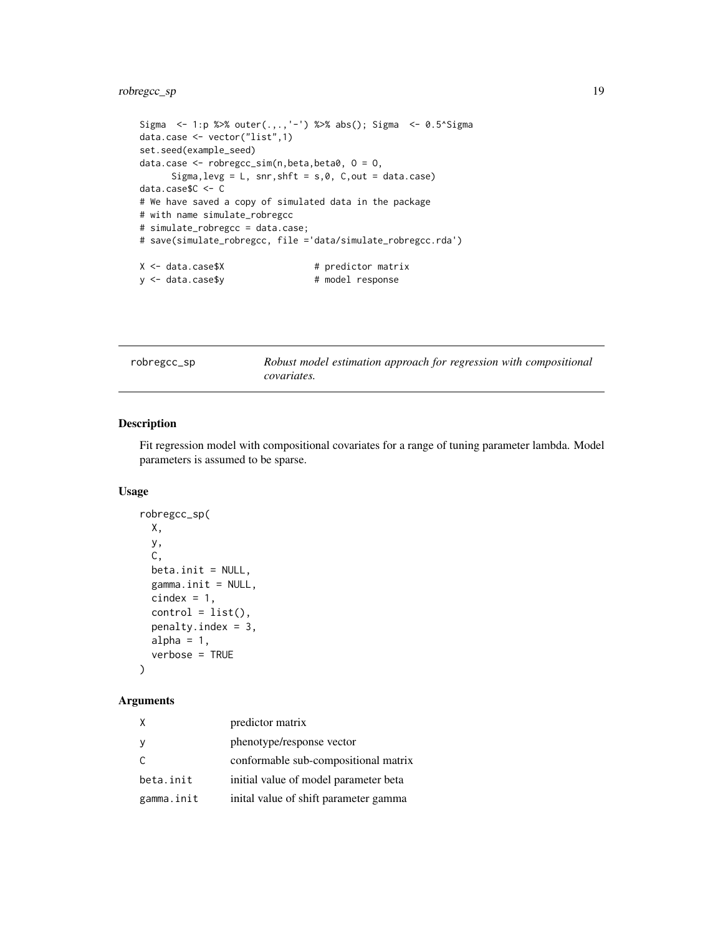#### <span id="page-18-0"></span>robregcc\_sp 19

```
Sigma <- 1:p %>% outer(.,.,'-') %>% abs(); Sigma <- 0.5^Sigma
data.case <- vector("list",1)
set.seed(example_seed)
data.case <- robregcc_sim(n,beta,beta0, O = O,
     Sigma, levg = L, snr, shft = s, 0, C, out = data.case)
data.case$C <- C
# We have saved a copy of simulated data in the package
# with name simulate_robregcc
# simulate_robregcc = data.case;
# save(simulate_robregcc, file ='data/simulate_robregcc.rda')
X <- data.case$X # predictor matrix
y <- data.case$y # model response
```
robregcc\_sp *Robust model estimation approach for regression with compositional covariates.*

#### Description

Fit regression model with compositional covariates for a range of tuning parameter lambda. Model parameters is assumed to be sparse.

#### Usage

```
robregcc_sp(
 X,
 y,
 C,
 beta.init = NULL,
  gamma.init = NULL,cindex = 1,
 control = list(),penalty.index = 3,
 alpha = 1,
 verbose = TRUE
)
```
#### Arguments

|            | predictor matrix                      |
|------------|---------------------------------------|
|            | phenotype/response vector             |
|            | conformable sub-compositional matrix  |
| beta.init  | initial value of model parameter beta |
| gamma.init | inital value of shift parameter gamma |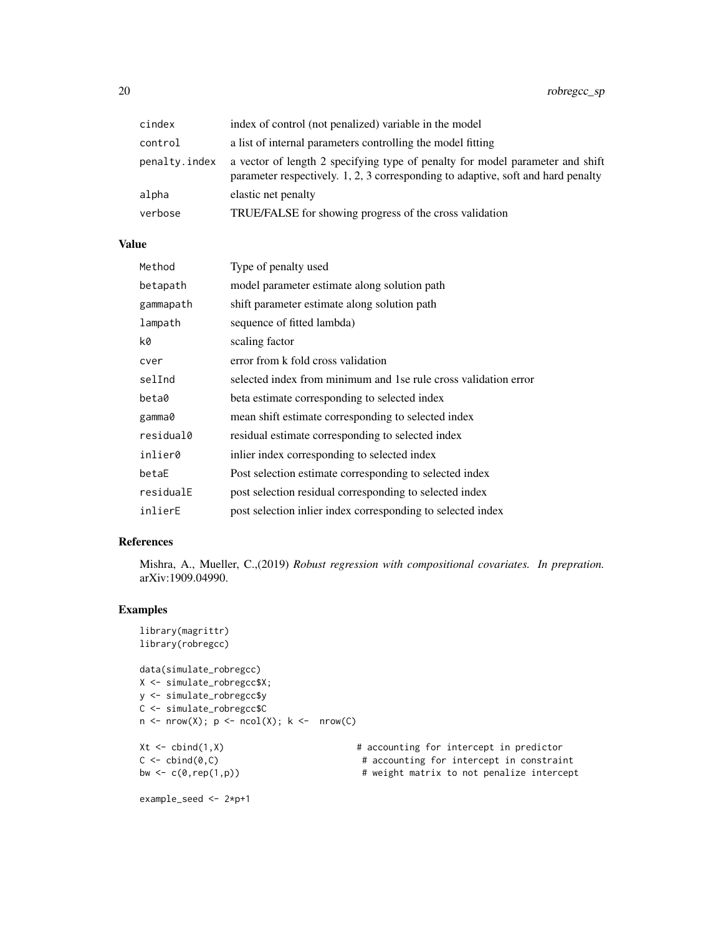| cindex        | index of control (not penalized) variable in the model                                                                                                            |
|---------------|-------------------------------------------------------------------------------------------------------------------------------------------------------------------|
| control       | a list of internal parameters controlling the model fitting                                                                                                       |
| penalty.index | a vector of length 2 specifying type of penalty for model parameter and shift<br>parameter respectively. 1, 2, 3 corresponding to adaptive, soft and hard penalty |
| alpha         | elastic net penalty                                                                                                                                               |
| verbose       | TRUE/FALSE for showing progress of the cross validation                                                                                                           |

#### Value

| Method    | Type of penalty used                                            |
|-----------|-----------------------------------------------------------------|
| betapath  | model parameter estimate along solution path                    |
| gammapath | shift parameter estimate along solution path                    |
| lampath   | sequence of fitted lambda)                                      |
| k0        | scaling factor                                                  |
| cver      | error from k fold cross validation                              |
| selInd    | selected index from minimum and 1se rule cross validation error |
| beta0     | beta estimate corresponding to selected index                   |
| gamma0    | mean shift estimate corresponding to selected index             |
| residual0 | residual estimate corresponding to selected index               |
| inlier0   | in lier index corresponding to selected index                   |
| betaE     | Post selection estimate corresponding to selected index         |
| residualE | post selection residual corresponding to selected index         |
| inlierE   | post selection in lier index corresponding to selected index    |

#### References

Mishra, A., Mueller, C.,(2019) *Robust regression with compositional covariates. In prepration.* arXiv:1909.04990.

```
library(magrittr)
library(robregcc)
data(simulate_robregcc)
X <- simulate_robregcc$X;
y <- simulate_robregcc$y
C <- simulate_robregcc$C
n \le -nrow(X); p \le -ncol(X); k \le -nrow(C)Xt <- cbind(1,X) # accounting for intercept in predictor
C \leftarrow \text{cbind}(0, C) # accounting for intercept in constraint
bw \leq c(\theta, rep(1,p)) \qquad \qquad \# weight matrix to not penalize intercept
example_seed <- 2*p+1
```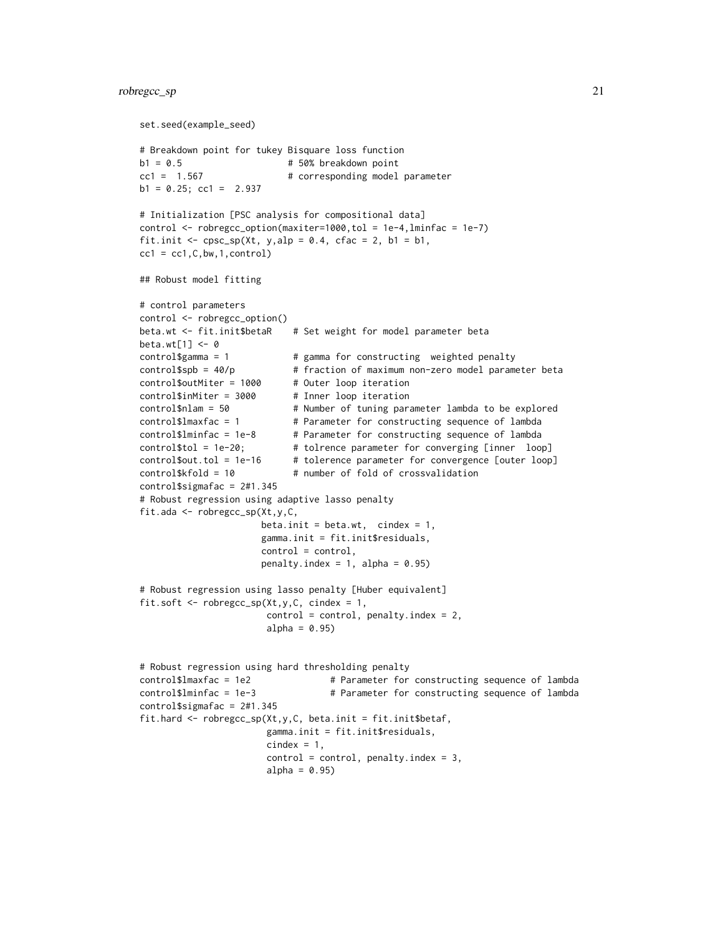#### robregcc\_sp 21

```
set.seed(example_seed)
# Breakdown point for tukey Bisquare loss function
b1 = 0.5 # 50% breakdown point
cc1 = 1.567 # corresponding model parameter
b1 = 0.25; cc1 = 2.937
# Initialization [PSC analysis for compositional data]
control <- robregcc_option(maxiter=1000,tol = 1e-4,lminfac = 1e-7)
fit.init \leq cpsc_sp(Xt, y,alp = 0.4, cfac = 2, b1 = b1,
cc1 = cc1, C, bw, 1, control)## Robust model fitting
# control parameters
control <- robregcc_option()
beta.wt <- fit.init$betaR # Set weight for model parameter beta
beta.wt[1] <- 0
control\gamma = 1 \qquad # gamma for constructing weighted penalty
control$spb = 40/p # fraction of maximum non-zero model parameter beta
control$outMiter = 1000 # Outer loop iteration
control$inMiter = 3000 # Inner loop iteration
control$nlam = 50 # Number of tuning parameter lambda to be explored
control$lmaxfac = 1 # Parameter for constructing sequence of lambda<br>control$lminfac = 1e-8 # Parameter for constructing sequence of lambda<br>control$lminfac = 1e-8 # Parameter for constructing sequence of lambda
                           # Parameter for constructing sequence of lambda
control$tol = 1e-20; # tolrence parameter for converging [inner loop]
control$out.tol = 1e-16 # tolerence parameter for convergence [outer loop]
control$kfold = 10 # number of fold of crossvalidation
control$sigmafac = 2#1.345
# Robust regression using adaptive lasso penalty
fit.ada <- robregcc_sp(Xt,y,C,
                       beta.init = beta.wt, cindex = 1,
                       gamma.init = fit.init$residuals,
                       control = control,
                       penalty.index = 1, alpha = 0.95)
# Robust regression using lasso penalty [Huber equivalent]
fit.soft \leq robregcc_sp(Xt,y,C, cindex = 1,
                        control = control, penalty.index = 2,alpha = 0.95)
# Robust regression using hard thresholding penalty
control$lmaxfac = 1e2 # Parameter for constructing sequence of lambda
control$lminfac = 1e-3 # Parameter for constructing sequence of lambda
control$sigmafac = 2#1.345
fit.hard \leq robregcc_sp(Xt,y,C, beta.init = fit.init$betaf,
                        gamma.init = fit.init$residuals,
                        cindex = 1,
                        control = control, penalty.index = 3,alpha = 0.95)
```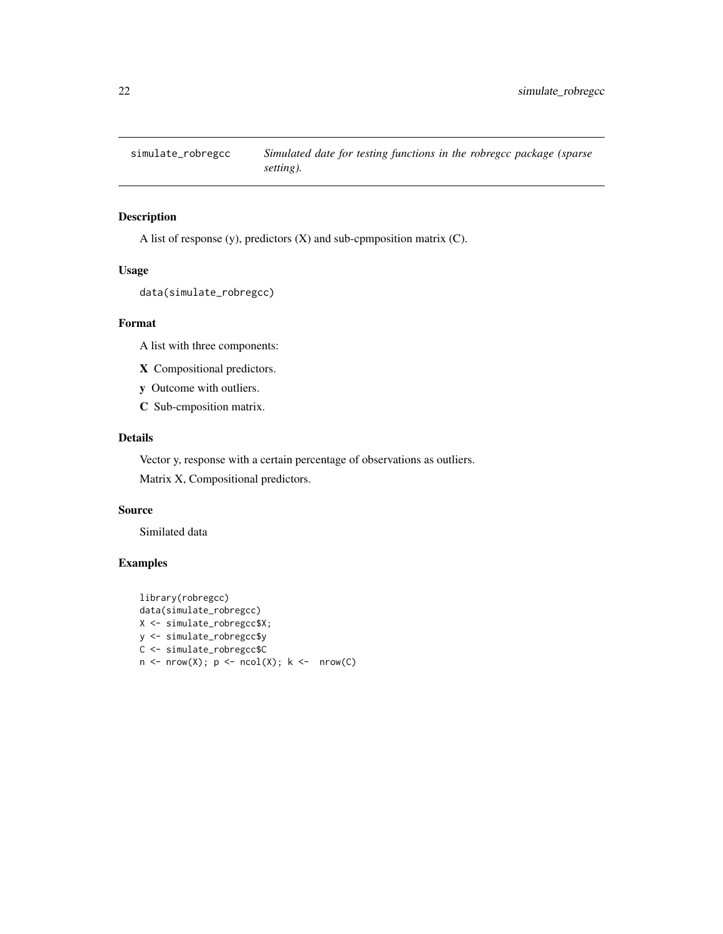<span id="page-21-0"></span>

#### Description

A list of response (y), predictors (X) and sub-cpmposition matrix (C).

#### Usage

```
data(simulate_robregcc)
```
#### Format

A list with three components:

- X Compositional predictors.
- y Outcome with outliers.
- C Sub-cmposition matrix.

#### Details

Vector y, response with a certain percentage of observations as outliers.

Matrix X, Compositional predictors.

#### Source

Similated data

```
library(robregcc)
data(simulate_robregcc)
X <- simulate_robregcc$X;
y <- simulate_robregcc$y
C <- simulate_robregcc$C
n \leq -nrow(X); p \leq -ncol(X); k \leq -nrow(C)
```